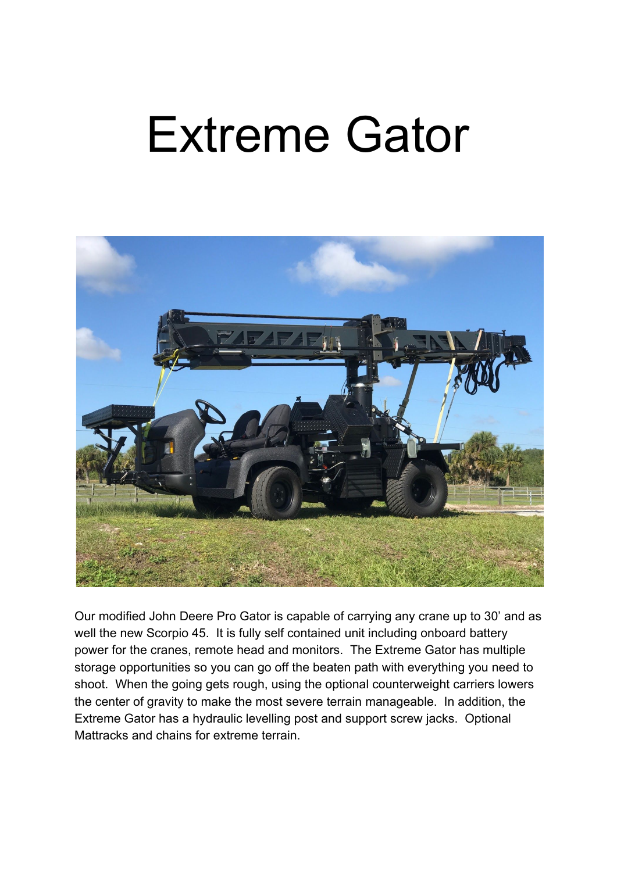## Extreme Gator



Our modified John Deere Pro Gator is capable of carrying any crane up to 30' and as well the new Scorpio 45. It is fully self contained unit including onboard battery power for the cranes, remote head and monitors. The Extreme Gator has multiple storage opportunities so you can go off the beaten path with everything you need to shoot. When the going gets rough, using the optional counterweight carriers lowers the center of gravity to make the most severe terrain manageable. In addition, the Extreme Gator has a hydraulic levelling post and support screw jacks. Optional Mattracks and chains for extreme terrain.